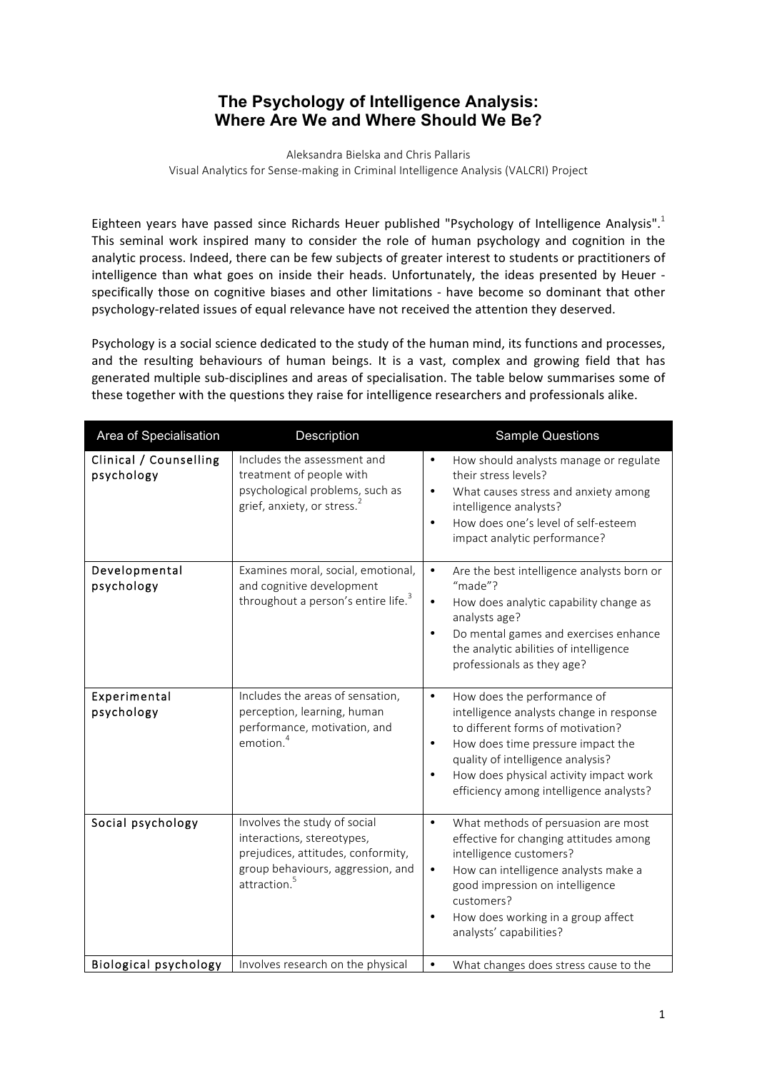## **The Psychology of Intelligence Analysis: Where Are We and Where Should We Be?**

Aleksandra Bielska and Chris Pallaris Visual Analytics for Sense-making in Criminal Intelligence Analysis (VALCRI) Project

Eighteen years have passed since Richards Heuer published "Psychology of Intelligence Analysis".<sup>1</sup> This seminal work inspired many to consider the role of human psychology and cognition in the analytic process. Indeed, there can be few subjects of greater interest to students or practitioners of intelligence than what goes on inside their heads. Unfortunately, the ideas presented by Heuer specifically those on cognitive biases and other limitations - have become so dominant that other psychology-related issues of equal relevance have not received the attention they deserved.

Psychology is a social science dedicated to the study of the human mind, its functions and processes, and the resulting behaviours of human beings. It is a vast, complex and growing field that has generated multiple sub-disciplines and areas of specialisation. The table below summarises some of these together with the questions they raise for intelligence researchers and professionals alike.

| Area of Specialisation               | Description                                                                                                                                                       | <b>Sample Questions</b>                                                                                                                                                                                                                                                                                            |
|--------------------------------------|-------------------------------------------------------------------------------------------------------------------------------------------------------------------|--------------------------------------------------------------------------------------------------------------------------------------------------------------------------------------------------------------------------------------------------------------------------------------------------------------------|
| Clinical / Counselling<br>psychology | Includes the assessment and<br>treatment of people with<br>psychological problems, such as<br>grief, anxiety, or stress. <sup>2</sup>                             | How should analysts manage or regulate<br>$\bullet$<br>their stress levels?<br>$\bullet$<br>What causes stress and anxiety among<br>intelligence analysts?<br>How does one's level of self-esteem<br>$\bullet$<br>impact analytic performance?                                                                     |
| Developmental<br>psychology          | Examines moral, social, emotional,<br>and cognitive development<br>throughout a person's entire life. <sup>3</sup>                                                | Are the best intelligence analysts born or<br>$\bullet$<br>"made"?<br>How does analytic capability change as<br>$\bullet$<br>analysts age?<br>Do mental games and exercises enhance<br>$\bullet$<br>the analytic abilities of intelligence<br>professionals as they age?                                           |
| Experimental<br>psychology           | Includes the areas of sensation,<br>perception, learning, human<br>performance, motivation, and<br>emotion. <sup>4</sup>                                          | How does the performance of<br>$\bullet$<br>intelligence analysts change in response<br>to different forms of motivation?<br>How does time pressure impact the<br>$\bullet$<br>quality of intelligence analysis?<br>How does physical activity impact work<br>$\bullet$<br>efficiency among intelligence analysts? |
| Social psychology                    | Involves the study of social<br>interactions, stereotypes,<br>prejudices, attitudes, conformity,<br>group behaviours, aggression, and<br>attraction. <sup>5</sup> | What methods of persuasion are most<br>$\bullet$<br>effective for changing attitudes among<br>intelligence customers?<br>How can intelligence analysts make a<br>$\bullet$<br>good impression on intelligence<br>customers?<br>How does working in a group affect<br>$\bullet$<br>analysts' capabilities?          |
| <b>Biological psychology</b>         | Involves research on the physical                                                                                                                                 | $\bullet$<br>What changes does stress cause to the                                                                                                                                                                                                                                                                 |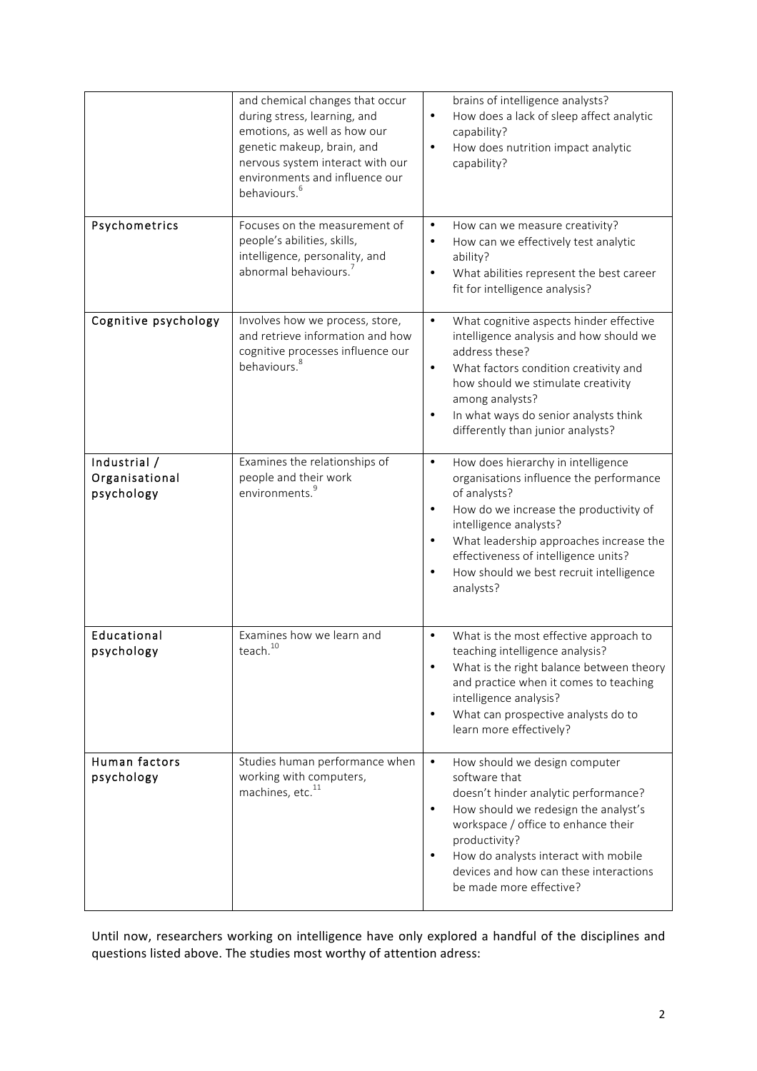|                                              | and chemical changes that occur<br>during stress, learning, and<br>emotions, as well as how our<br>genetic makeup, brain, and<br>nervous system interact with our<br>environments and influence our<br>behaviours. <sup>6</sup> | brains of intelligence analysts?<br>How does a lack of sleep affect analytic<br>$\bullet$<br>capability?<br>How does nutrition impact analytic<br>$\bullet$<br>capability?                                                                                                                                                                                       |
|----------------------------------------------|---------------------------------------------------------------------------------------------------------------------------------------------------------------------------------------------------------------------------------|------------------------------------------------------------------------------------------------------------------------------------------------------------------------------------------------------------------------------------------------------------------------------------------------------------------------------------------------------------------|
| Psychometrics                                | Focuses on the measurement of<br>people's abilities, skills,<br>intelligence, personality, and<br>abnormal behaviours.                                                                                                          | How can we measure creativity?<br>٠<br>How can we effectively test analytic<br>$\bullet$<br>ability?<br>What abilities represent the best career<br>$\bullet$<br>fit for intelligence analysis?                                                                                                                                                                  |
| Cognitive psychology                         | Involves how we process, store,<br>and retrieve information and how<br>cognitive processes influence our<br>behaviours. <sup>8</sup>                                                                                            | What cognitive aspects hinder effective<br>$\bullet$<br>intelligence analysis and how should we<br>address these?<br>What factors condition creativity and<br>$\bullet$<br>how should we stimulate creativity<br>among analysts?<br>In what ways do senior analysts think<br>$\bullet$<br>differently than junior analysts?                                      |
| Industrial /<br>Organisational<br>psychology | Examines the relationships of<br>people and their work<br>environments. <sup>9</sup>                                                                                                                                            | How does hierarchy in intelligence<br>$\bullet$<br>organisations influence the performance<br>of analysts?<br>How do we increase the productivity of<br>$\bullet$<br>intelligence analysts?<br>What leadership approaches increase the<br>$\bullet$<br>effectiveness of intelligence units?<br>How should we best recruit intelligence<br>$\bullet$<br>analysts? |
| Educational<br>psychology                    | Examines how we learn and<br>$\,\mbox{teach.}^{10}\,$                                                                                                                                                                           | What is the most effective approach to<br>$\bullet$<br>teaching intelligence analysis?<br>What is the right balance between theory<br>and practice when it comes to teaching<br>intelligence analysis?<br>What can prospective analysts do to<br>$\bullet$<br>learn more effectively?                                                                            |
| Human factors<br>psychology                  | Studies human performance when<br>working with computers,<br>machines, etc. <sup>11</sup>                                                                                                                                       | $\bullet$<br>How should we design computer<br>software that<br>doesn't hinder analytic performance?<br>How should we redesign the analyst's<br>$\bullet$<br>workspace / office to enhance their<br>productivity?<br>How do analysts interact with mobile<br>$\bullet$<br>devices and how can these interactions<br>be made more effective?                       |

Until now, researchers working on intelligence have only explored a handful of the disciplines and questions listed above. The studies most worthy of attention adress: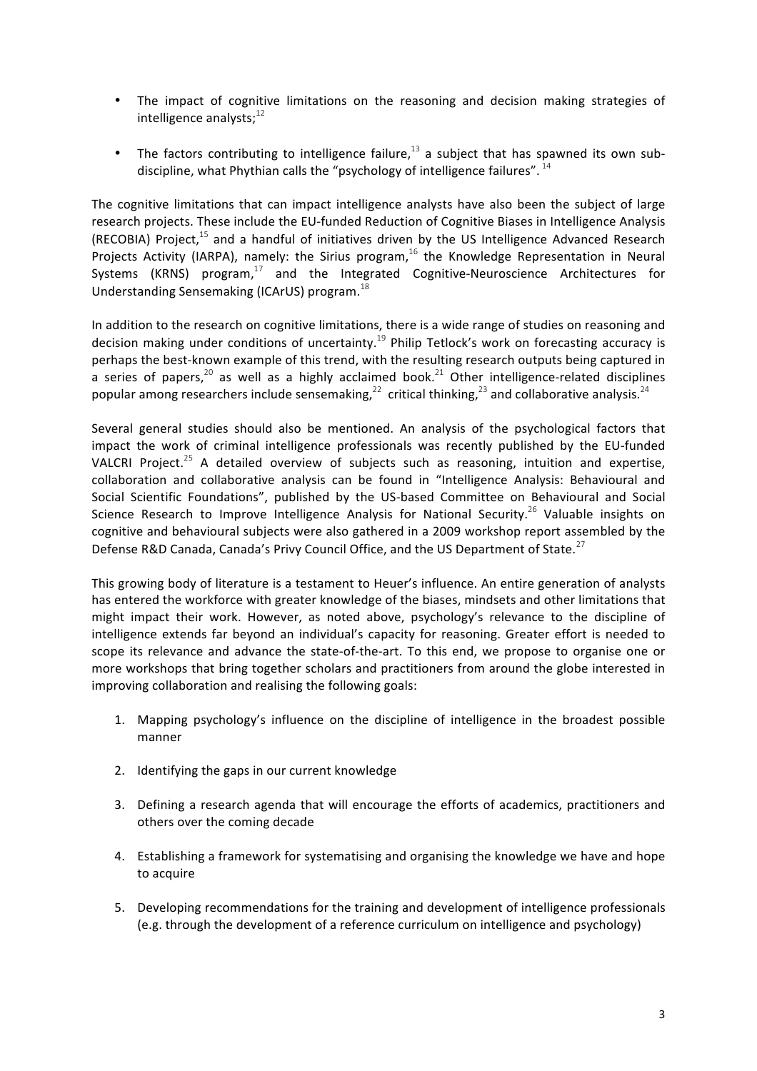- The impact of cognitive limitations on the reasoning and decision making strategies of intelligence analysts; $^{12}$
- The factors contributing to intelligence failure,<sup>13</sup> a subject that has spawned its own subdiscipline, what Phythian calls the "psychology of intelligence failures".  $^{14}$

The cognitive limitations that can impact intelligence analysts have also been the subject of large research projects. These include the EU-funded Reduction of Cognitive Biases in Intelligence Analysis (RECOBIA) Project, $^{15}$  and a handful of initiatives driven by the US Intelligence Advanced Research Projects Activity (IARPA), namely: the Sirius program,  $^{16}$  the Knowledge Representation in Neural Systems (KRNS)  $program<sup>17</sup>$  and the Integrated Cognitive-Neuroscience Architectures for Understanding Sensemaking (ICArUS) program.  $^{18}$ 

In addition to the research on cognitive limitations, there is a wide range of studies on reasoning and decision making under conditions of uncertainty.<sup>19</sup> Philip Tetlock's work on forecasting accuracy is perhaps the best-known example of this trend, with the resulting research outputs being captured in a series of papers,<sup>20</sup> as well as a highly acclaimed book.<sup>21</sup> Other intelligence-related disciplines popular among researchers include sensemaking,<sup>22</sup> critical thinking,<sup>23</sup> and collaborative analysis.<sup>24</sup>

Several general studies should also be mentioned. An analysis of the psychological factors that impact the work of criminal intelligence professionals was recently published by the EU-funded VALCRI Project.<sup>25</sup> A detailed overview of subjects such as reasoning, intuition and expertise, collaboration and collaborative analysis can be found in "Intelligence Analysis: Behavioural and Social Scientific Foundations", published by the US-based Committee on Behavioural and Social Science Research to Improve Intelligence Analysis for National Security.<sup>26</sup> Valuable insights on cognitive and behavioural subjects were also gathered in a 2009 workshop report assembled by the Defense R&D Canada, Canada's Privy Council Office, and the US Department of State. $^{27}$ 

This growing body of literature is a testament to Heuer's influence. An entire generation of analysts has entered the workforce with greater knowledge of the biases, mindsets and other limitations that might impact their work. However, as noted above, psychology's relevance to the discipline of intelligence extends far beyond an individual's capacity for reasoning. Greater effort is needed to scope its relevance and advance the state-of-the-art. To this end, we propose to organise one or more workshops that bring together scholars and practitioners from around the globe interested in improving collaboration and realising the following goals:

- 1. Mapping psychology's influence on the discipline of intelligence in the broadest possible manner
- 2. Identifying the gaps in our current knowledge
- 3. Defining a research agenda that will encourage the efforts of academics, practitioners and others over the coming decade
- 4. Establishing a framework for systematising and organising the knowledge we have and hope to acquire
- 5. Developing recommendations for the training and development of intelligence professionals (e.g. through the development of a reference curriculum on intelligence and psychology)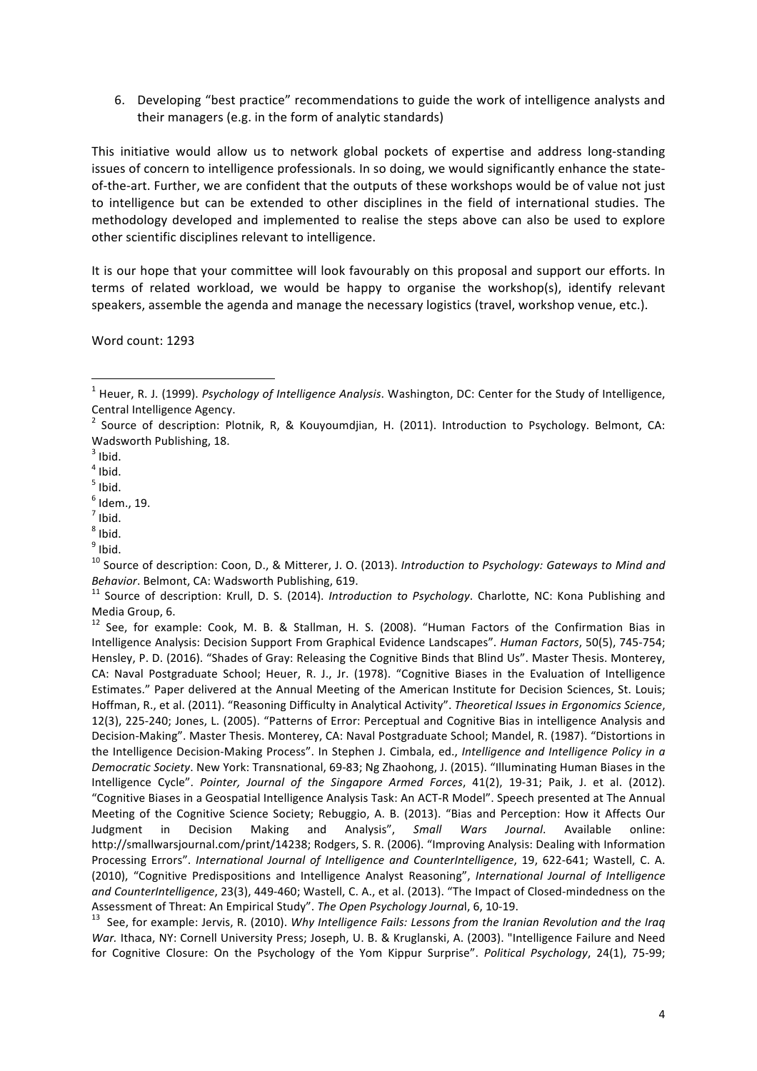6. Developing "best practice" recommendations to guide the work of intelligence analysts and their managers (e.g. in the form of analytic standards)

This initiative would allow us to network global pockets of expertise and address long-standing issues of concern to intelligence professionals. In so doing, we would significantly enhance the stateof-the-art. Further, we are confident that the outputs of these workshops would be of value not just to intelligence but can be extended to other disciplines in the field of international studies. The methodology developed and implemented to realise the steps above can also be used to explore other scientific disciplines relevant to intelligence.

It is our hope that your committee will look favourably on this proposal and support our efforts. In terms of related workload, we would be happy to organise the workshop(s), identify relevant speakers, assemble the agenda and manage the necessary logistics (travel, workshop venue, etc.).

Word count: 1293

<sup>10</sup> Source of description: Coon, D., & Mitterer, J. O. (2013). Introduction to Psychology: Gateways to Mind and *Behavior*. Belmont, CA: Wadsworth Publishing, 619.<br><sup>11</sup> Source of description: Krull, D. S. (2014). *Introduction to Psychology*. Charlotte, NC: Kona Publishing and

 $12$  See, for example: Cook, M. B. & Stallman, H. S. (2008). "Human Factors of the Confirmation Bias in Intelligence Analysis: Decision Support From Graphical Evidence Landscapes". *Human Factors*, 50(5), 745-754; Hensley, P. D. (2016). "Shades of Gray: Releasing the Cognitive Binds that Blind Us". Master Thesis. Monterey, CA: Naval Postgraduate School; Heuer, R. J., Jr. (1978). "Cognitive Biases in the Evaluation of Intelligence Estimates." Paper delivered at the Annual Meeting of the American Institute for Decision Sciences, St. Louis; Hoffman, R., et al. (2011). "Reasoning Difficulty in Analytical Activity". Theoretical Issues in Ergonomics Science, 12(3), 225-240; Jones, L. (2005). "Patterns of Error: Perceptual and Cognitive Bias in intelligence Analysis and Decision-Making". Master Thesis. Monterey, CA: Naval Postgraduate School; Mandel, R. (1987). "Distortions in the Intelligence Decision-Making Process". In Stephen J. Cimbala, ed., *Intelligence and Intelligence Policy in a Democratic Society*. New York: Transnational, 69-83; Ng Zhaohong, J. (2015). "Illuminating Human Biases in the Intelligence Cycle". Pointer, Journal of the Singapore Armed Forces, 41(2), 19-31; Paik, J. et al. (2012). "Cognitive Biases in a Geospatial Intelligence Analysis Task: An ACT-R Model". Speech presented at The Annual Meeting of the Cognitive Science Society; Rebuggio, A. B. (2013). "Bias and Perception: How it Affects Our Judgment in Decision Making and Analysis", Small Wars Journal. Available online: http://smallwarsjournal.com/print/14238; Rodgers, S. R. (2006). "Improving Analysis: Dealing with Information Processing Errors". *International Journal of Intelligence and CounterIntelligence*, 19, 622-641; Wastell, C. A. (2010), "Cognitive Predispositions and Intelligence Analyst Reasoning", International Journal of Intelligence and CounterIntelligence, 23(3), 449-460; Wastell, C. A., et al. (2013). "The Impact of Closed-mindedness on the Assessment of Threat: An Empirical Study". *The Open Psychology Journal*, 6, 10-19.<br><sup>13</sup> See, for example: Jervis, R. (2010). *Why Intelligence Fails: Lessons from the Iranian Revolution and the Iraq* 

War. Ithaca, NY: Cornell University Press; Joseph, U. B. & Kruglanski, A. (2003). "Intelligence Failure and Need for Cognitive Closure: On the Psychology of the Yom Kippur Surprise". *Political Psychology*, 24(1), 75-99;

<sup>&</sup>lt;sup>1</sup> Heuer, R. J. (1999). Psychology of Intelligence Analysis. Washington, DC: Center for the Study of Intelligence, Central Intelligence Agency.

 $2$  Source of description: Plotnik, R, & Kouyoumdjian, H. (2011). Introduction to Psychology. Belmont, CA: Wadsworth Publishing, 18.

 $3$  Ibid.

 $<sup>4</sup>$  Ibid.</sup>

 $<sup>5</sup>$  Ibid.</sup>

 $<sup>6</sup>$  Idem., 19.<br><sup>7</sup> Ibid.</sup>

 $8$  Ibid.

 $<sup>9</sup>$  Ibid.</sup>

Media Group, 6.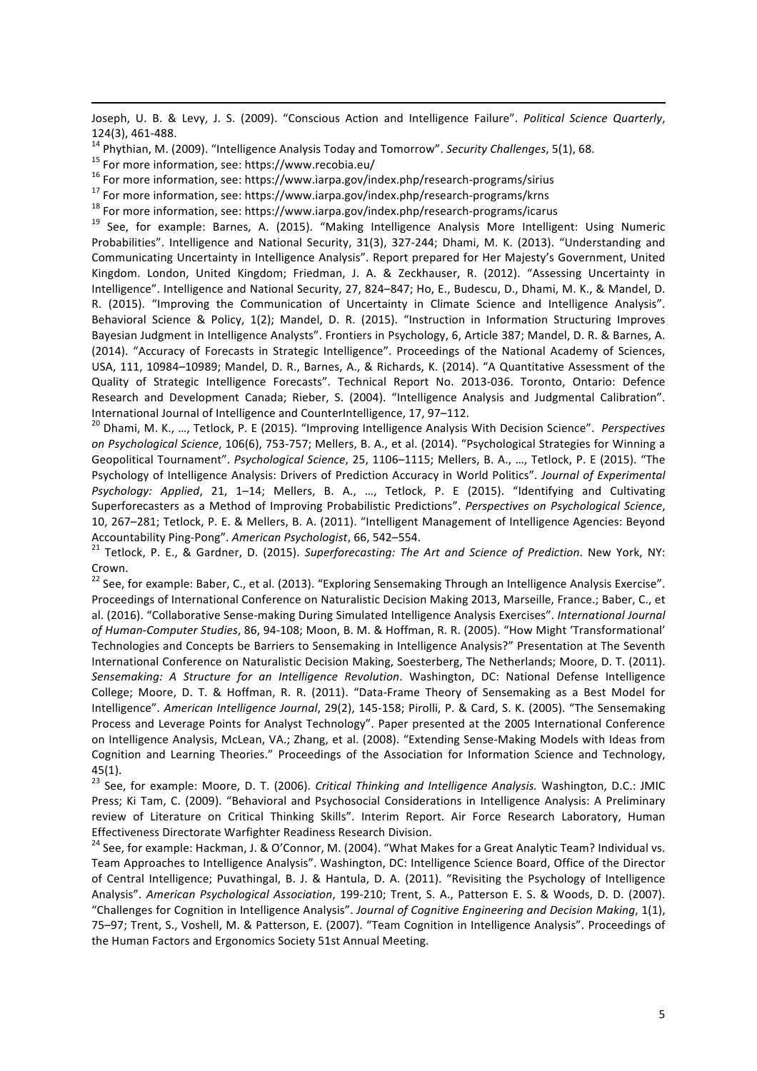<u> 1989 - Jan Sarajević, politički predsjednik i politički politički politički politički politički politički po</u> Joseph, U. B. & Levy, J. S. (2009). "Conscious Action and Intelligence Failure". Political Science Quarterly,

124(3), 461-488.<br>
<sup>14</sup> Phythian, M. (2009). "Intelligence Analysis Today and Tomorrow". *Security Challenges*, 5(1), 68.<br>
<sup>15</sup> For more information, see: https://www.recobia.eu/<br>
<sup>16</sup> For more information, see: https://ww Probabilities". Intelligence and National Security, 31(3), 327-244; Dhami, M. K. (2013). "Understanding and Communicating Uncertainty in Intelligence Analysis". Report prepared for Her Majesty's Government, United Kingdom. London, United Kingdom; Friedman, J. A. & Zeckhauser, R. (2012). "Assessing Uncertainty in Intelligence". Intelligence and National Security, 27, 824–847; Ho, E., Budescu, D., Dhami, M. K., & Mandel, D. R. (2015). "Improving the Communication of Uncertainty in Climate Science and Intelligence Analysis". Behavioral Science & Policy, 1(2); Mandel, D. R. (2015). "Instruction in Information Structuring Improves Bayesian Judgment in Intelligence Analysts". Frontiers in Psychology, 6, Article 387; Mandel, D. R. & Barnes, A. (2014). "Accuracy of Forecasts in Strategic Intelligence". Proceedings of the National Academy of Sciences, USA, 111, 10984-10989; Mandel, D. R., Barnes, A., & Richards, K. (2014). "A Quantitative Assessment of the Quality of Strategic Intelligence Forecasts". Technical Report No. 2013-036. Toronto, Ontario: Defence Research and Development Canada; Rieber, S. (2004). "Intelligence Analysis and Judgmental Calibration".<br>International Journal of Intelligence and CounterIntelligence, 17, 97–112.

<sup>20</sup> Dhami, M. K., ..., Tetlock, P. E (2015). "Improving Intelligence Analysis With Decision Science". Perspectives *on Psychological Science*, 106(6), 753-757; Mellers, B. A., et al. (2014). "Psychological Strategies for Winning a Geopolitical Tournament". Psychological Science, 25, 1106-1115; Mellers, B. A., ..., Tetlock, P. E (2015). "The Psychology of Intelligence Analysis: Drivers of Prediction Accuracy in World Politics". *Journal of Experimental* Psychology: Applied, 21, 1–14; Mellers, B. A., ..., Tetlock, P. E (2015). "Identifying and Cultivating Superforecasters as a Method of Improving Probabilistic Predictions". Perspectives on Psychological Science, 10, 267-281; Tetlock, P. E. & Mellers, B. A. (2011). "Intelligent Management of Intelligence Agencies: Beyond Accountability Ping-Pong". *American Psychologist*, 66, 542–554.<br><sup>21</sup> Tetlock, P. E., & Gardner, D. (2015). *Superforecasting: The Art and Science of Prediction*. New York, NY:

Crown.

<sup>22</sup> See, for example: Baber, C., et al. (2013). "Exploring Sensemaking Through an Intelligence Analysis Exercise". Proceedings of International Conference on Naturalistic Decision Making 2013, Marseille, France.; Baber, C., et al. (2016). "Collaborative Sense-making During Simulated Intelligence Analysis Exercises". International Journal of Human-Computer Studies, 86, 94-108; Moon, B. M. & Hoffman, R. R. (2005). "How Might 'Transformational' Technologies and Concepts be Barriers to Sensemaking in Intelligence Analysis?" Presentation at The Seventh International Conference on Naturalistic Decision Making, Soesterberg, The Netherlands; Moore, D. T. (2011). Sensemaking: A Structure for an Intelligence Revolution. Washington, DC: National Defense Intelligence College: Moore, D. T. & Hoffman, R. R. (2011). "Data-Frame Theory of Sensemaking as a Best Model for Intelligence". American Intelligence Journal, 29(2), 145-158; Pirolli, P. & Card, S. K. (2005). "The Sensemaking Process and Leverage Points for Analyst Technology". Paper presented at the 2005 International Conference on Intelligence Analysis, McLean, VA.; Zhang, et al. (2008). "Extending Sense-Making Models with Ideas from Cognition and Learning Theories." Proceedings of the Association for Information Science and Technology, 45(1).

<sup>23</sup> See, for example: Moore, D. T. (2006). *Critical Thinking and Intelligence Analysis*. Washington, D.C.: JMIC Press; Ki Tam, C. (2009). "Behavioral and Psychosocial Considerations in Intelligence Analysis: A Preliminary review of Literature on Critical Thinking Skills". Interim Report. Air Force Research Laboratory, Human Effectiveness Directorate Warfighter Readiness Research Division.<br><sup>24</sup> See, for example: Hackman, J. & O'Connor, M. (2004). "What Makes for a Great Analytic Team? Individual vs.

Team Approaches to Intelligence Analysis". Washington, DC: Intelligence Science Board, Office of the Director of Central Intelligence; Puvathingal, B. J. & Hantula, D. A. (2011). "Revisiting the Psychology of Intelligence Analysis". American Psychological Association, 199-210; Trent, S. A., Patterson E. S. & Woods, D. D. (2007). "Challenges for Cognition in Intelligence Analysis". Journal of Cognitive Engineering and Decision Making, 1(1), 75–97; Trent, S., Voshell, M. & Patterson, E. (2007). "Team Cognition in Intelligence Analysis". Proceedings of the Human Factors and Ergonomics Society 51st Annual Meeting.